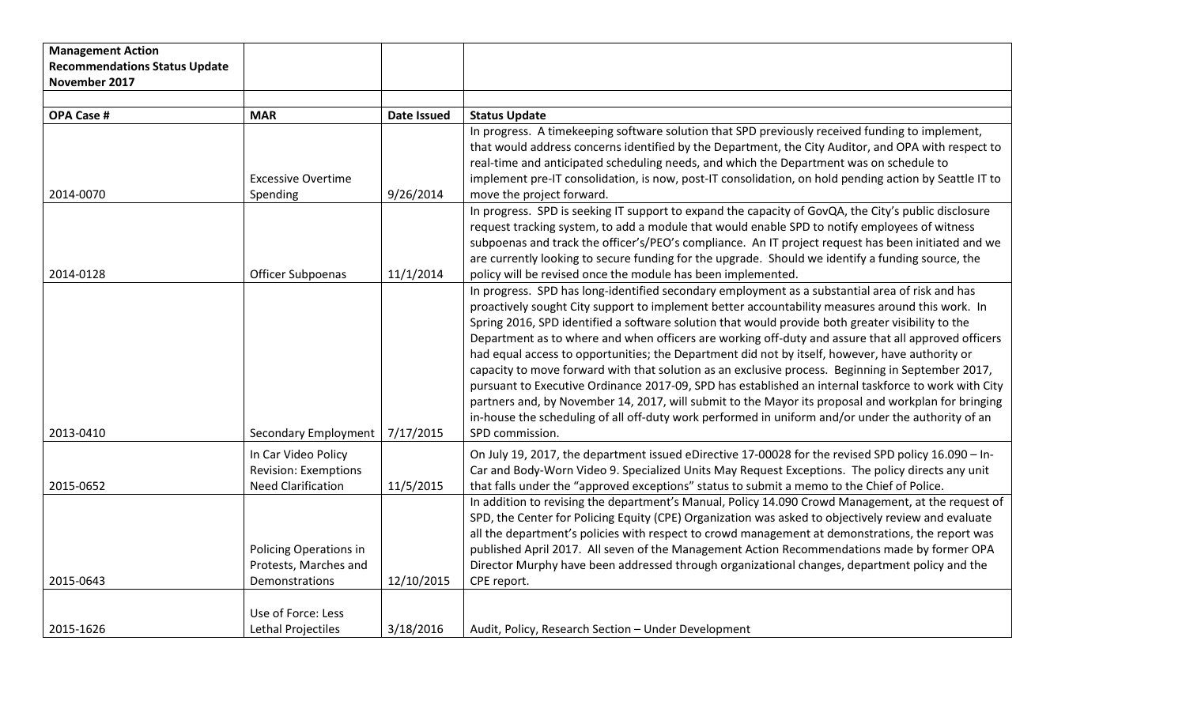| <b>Management Action</b>             |                             |                    |                                                                                                                                                                                                           |
|--------------------------------------|-----------------------------|--------------------|-----------------------------------------------------------------------------------------------------------------------------------------------------------------------------------------------------------|
| <b>Recommendations Status Update</b> |                             |                    |                                                                                                                                                                                                           |
| November 2017                        |                             |                    |                                                                                                                                                                                                           |
|                                      |                             |                    |                                                                                                                                                                                                           |
| <b>OPA Case #</b>                    | <b>MAR</b>                  | <b>Date Issued</b> | <b>Status Update</b>                                                                                                                                                                                      |
|                                      |                             |                    | In progress. A timekeeping software solution that SPD previously received funding to implement,                                                                                                           |
|                                      |                             |                    | that would address concerns identified by the Department, the City Auditor, and OPA with respect to                                                                                                       |
|                                      |                             |                    | real-time and anticipated scheduling needs, and which the Department was on schedule to                                                                                                                   |
|                                      | <b>Excessive Overtime</b>   |                    | implement pre-IT consolidation, is now, post-IT consolidation, on hold pending action by Seattle IT to                                                                                                    |
| 2014-0070                            | Spending                    | 9/26/2014          | move the project forward.                                                                                                                                                                                 |
|                                      |                             |                    | In progress. SPD is seeking IT support to expand the capacity of GovQA, the City's public disclosure                                                                                                      |
|                                      |                             |                    | request tracking system, to add a module that would enable SPD to notify employees of witness                                                                                                             |
|                                      |                             |                    | subpoenas and track the officer's/PEO's compliance. An IT project request has been initiated and we                                                                                                       |
|                                      |                             |                    | are currently looking to secure funding for the upgrade. Should we identify a funding source, the                                                                                                         |
| 2014-0128                            | Officer Subpoenas           | 11/1/2014          | policy will be revised once the module has been implemented.                                                                                                                                              |
|                                      |                             |                    | In progress. SPD has long-identified secondary employment as a substantial area of risk and has                                                                                                           |
|                                      |                             |                    | proactively sought City support to implement better accountability measures around this work. In                                                                                                          |
|                                      |                             |                    | Spring 2016, SPD identified a software solution that would provide both greater visibility to the                                                                                                         |
|                                      |                             |                    | Department as to where and when officers are working off-duty and assure that all approved officers                                                                                                       |
|                                      |                             |                    | had equal access to opportunities; the Department did not by itself, however, have authority or                                                                                                           |
|                                      |                             |                    | capacity to move forward with that solution as an exclusive process. Beginning in September 2017,                                                                                                         |
|                                      |                             |                    | pursuant to Executive Ordinance 2017-09, SPD has established an internal taskforce to work with City                                                                                                      |
|                                      |                             |                    | partners and, by November 14, 2017, will submit to the Mayor its proposal and workplan for bringing<br>in-house the scheduling of all off-duty work performed in uniform and/or under the authority of an |
| 2013-0410                            |                             | 7/17/2015          | SPD commission.                                                                                                                                                                                           |
|                                      | Secondary Employment        |                    |                                                                                                                                                                                                           |
|                                      | In Car Video Policy         |                    | On July 19, 2017, the department issued eDirective 17-00028 for the revised SPD policy 16.090 - In-                                                                                                       |
|                                      | <b>Revision: Exemptions</b> |                    | Car and Body-Worn Video 9. Specialized Units May Request Exceptions. The policy directs any unit                                                                                                          |
| 2015-0652                            | <b>Need Clarification</b>   | 11/5/2015          | that falls under the "approved exceptions" status to submit a memo to the Chief of Police.                                                                                                                |
|                                      |                             |                    | In addition to revising the department's Manual, Policy 14.090 Crowd Management, at the request of                                                                                                        |
|                                      |                             |                    | SPD, the Center for Policing Equity (CPE) Organization was asked to objectively review and evaluate                                                                                                       |
|                                      |                             |                    | all the department's policies with respect to crowd management at demonstrations, the report was                                                                                                          |
|                                      | Policing Operations in      |                    | published April 2017. All seven of the Management Action Recommendations made by former OPA                                                                                                               |
|                                      | Protests, Marches and       |                    | Director Murphy have been addressed through organizational changes, department policy and the                                                                                                             |
| 2015-0643                            | Demonstrations              | 12/10/2015         | CPE report.                                                                                                                                                                                               |
|                                      |                             |                    |                                                                                                                                                                                                           |
|                                      | Use of Force: Less          |                    |                                                                                                                                                                                                           |
| 2015-1626                            | Lethal Projectiles          | 3/18/2016          | Audit, Policy, Research Section - Under Development                                                                                                                                                       |